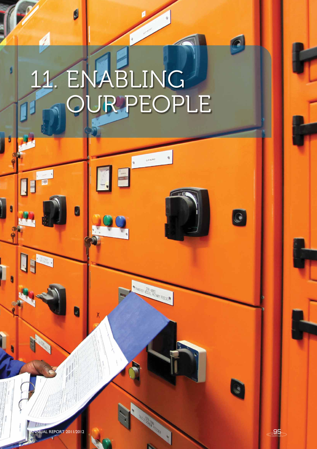# 11. ENABLING OUR PEOPLE

SPARE

WINNSFER VESSEL ROTARY FEEDER

b

11

IF

O

U

ANNUAL REPORT 2011/2012

 $\Theta$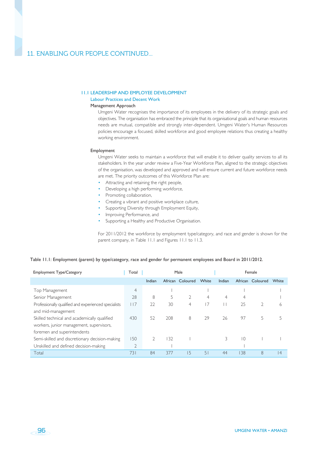# 11.1 LEADERSHIP AND EMPLOYEE DEVELOPMENT 11.1 LEADERSHIP AND EMPLOYEE DEVELOPMENT

Labour Practices and Decent Work

## Management Approach

Umgeni Water recognises the importance of its employees in the delivery of its strategic goals and objectives. The organisation has embraced the principle that its organisational goals and human resources needs are mutual, compatible and strongly inter-dependent. Umgeni Water's Human Resources policies encourage a focused, skilled workforce and good employee relations thus creating a healthy working environment.

#### Employment

96

Umgeni Water seeks to maintain a workforce that will enable it to deliver quality services to all its stakeholders. In the year under review a Five-Year Workforce Plan, aligned to the strategic objectives of the organisation, was developed and approved and will ensure current and future workforce needs are met. The priority outcomes of this Workforce Plan are:

- Attracting and retaining the right people,
- Developing a high performing workforce,
- Promoting collaboration,
- Creating a vibrant and positive workplace culture,
- Supporting Diversity through Employment Equity,
- Improving Performance, and
- Supporting a Healthy and Productive Organisation.

For 2011/2012 the workforce by employment type/category, and race and gender is shown for the parent company, in Table 11.1 and Figures 11.1 to 11.3.

# Table 11.1: Employment (parent) by type/category, race and gender for permanent employees and Board in 2011/2012.

| <b>Employment Type/Category</b>                      | Total          | Male   |     |                  |       | Female         |                |                  |       |
|------------------------------------------------------|----------------|--------|-----|------------------|-------|----------------|----------------|------------------|-------|
|                                                      |                | Indian |     | African Coloured | White | Indian         |                | African Coloured | White |
| Top Management                                       | $\overline{4}$ |        |     |                  |       |                |                |                  |       |
| Senior Management                                    | 28             | 8      | 5   | $\overline{2}$   | 4     | $\overline{4}$ | 4              |                  |       |
| Professionally qualified and experienced specialists | 117            | 22     | 30  | 4                | 17    |                | 25             | 2                | 6     |
| and mid-management                                   |                |        |     |                  |       |                |                |                  |       |
| Skilled technical and academically qualified         | 430            | 52     | 208 | 8                | 29    | 26             | 97             | 5                |       |
| workers, junior management, supervisors,             |                |        |     |                  |       |                |                |                  |       |
| foremen and superintendents                          |                |        |     |                  |       |                |                |                  |       |
| Semi-skilled and discretionary decision-making       | 150            |        | 132 |                  |       |                | $\overline{0}$ |                  |       |
| Unskilled and defined decision-making                | $\overline{2}$ |        |     |                  |       |                |                |                  |       |
| Total                                                | 731            | 84     | 377 | 15               | 51    | 44             | 138            | 8                | 4     |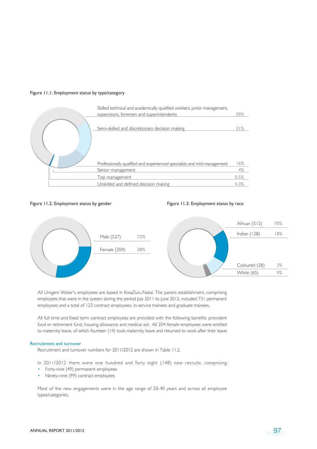# Figure 11.1: Employment status by type/category



# Figure 11.2: Employment status by gender

#### Figure 11.3: Employment status by race



All Umgeni Water's employees are based in KwaZulu-Natal. The parent establishment, comprising employees that were in the system during the period July 2011 to June 2012, included 731 permanent employees and a total of 123 contract employees, in-service trainees and graduate trainees.

All full time and fixed term contract employees are provided with the following benefits: provident fund or retirement fund, housing allowance and medical aid. All 204 female employees were entitled to maternity leave, of which fourteen (14) took maternity leave and returned to work after their leave.

# Recruitment and turnover

Recruitment and turnover numbers for 2011/2012 are shown in Table 11.2.

In 2011/2012 there were one hundred and forty eight (148) new recruits, comprising:

- Forty-nine (49) permanent employees
- Ninety-nine (99) contract employees

Most of the new engagements were in the age range of 20-40 years and across all employee types/categories.

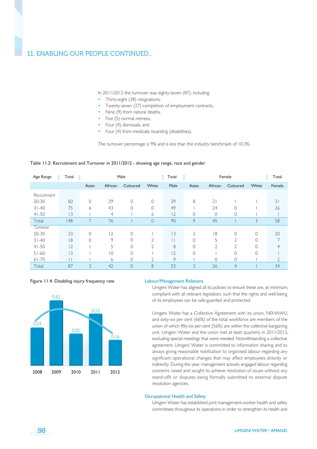In 2011/2012 the turnover was eighty-seven (87), including:

- Thirty-eight (38) resignations,
- Twenty-seven (27) completion of employment contracts,
- Nine (9) from natural deaths,
- Five (5) normal retirees.
- Four (4) dismissals, and
- Four (4) from medically boarding (disabilities).

The turnover percentage is 9% and is less than the industry benchmark of 10.3%.

#### Table 11.2: Recruitment and Turnover in 2011/2012 - showing age range, race and gender

| Age Range   | Total |                |         | Male           |                | Total          |                |         | Female         |       | Total  |
|-------------|-------|----------------|---------|----------------|----------------|----------------|----------------|---------|----------------|-------|--------|
|             |       | Asian          | African | Coloured       | White          | Male           | Asian          | African | Coloured       | White | Female |
| Recruitment |       |                |         |                |                |                |                |         |                |       |        |
| 20-30       | 60    | $\Omega$       | 29      | $\Omega$       | $\Omega$       | 29             | 8              | 21      |                |       | 31     |
| $31 - 40$   | 75    | 6              | 43      | 0              | $\Omega$       | 49             |                | 24      |                |       | 26     |
| $41 - 50$   | 13    |                | 4       |                | 6              | 2              | $\circ$        | 0       | $\circ$        |       |        |
| Total       | 148   | $\overline{7}$ | 76      |                | $\overline{0}$ | 90             | 9              | 45      |                | 3     | 58     |
| Turnover    |       |                |         |                |                |                |                |         |                |       |        |
| 20-30       | 33    | $\mathcal{O}$  | 2       | 0              |                | 3              | $\overline{2}$ | 18      | 0              | 0     | 20     |
| $31 - 40$   | 18    | $\Omega$       | 9       | $\Omega$       | $\overline{2}$ |                | $\Omega$       | 5       | $\overline{2}$ |       |        |
| $41 - 50$   | 12    |                | 5       | $\Omega$       | $\overline{2}$ | 8              | $\Omega$       | 2       | 2              |       |        |
| $51 - 60$   | 3     |                | 10      | $\Omega$       |                | $\overline{2}$ | $\Omega$       |         | $\Omega$       |       |        |
| $61 - 70$   |       |                | 6       |                |                | 9              |                | 0       |                |       |        |
| Total       | 87    | 3              | 42      | $\overline{O}$ | 8              | 53             | 3              | 26      | $\overline{4}$ |       | 34     |

#### Figure 11.4: Disabling injury frequency rate



#### Labour/Management Relations

Umgeni Water has aligned all its policies to ensure these are, at minimum, compliant with all relevant legislation, such that the rights and well-being of its employees can be safe-guarded and protected.

Umgeni Water has a Collective Agreement with its union, NEHAWU, and sixty-six per cent (66%) of the total workforce are members of the union of which fifty-six per cent (56%) are within the collective bargaining unit. Umgeni Water and the union met at least quarterly in 2011/2012, excluding special meetings that were needed. Notwithstanding a collective agreement, Umgeni Water is committed to information sharing and to always giving reasonable notification to organised labour regarding any significant operational changes that may affect employees directly or indirectly. During the year, management actively engaged labour regarding concerns raised and sought to achieve resolution of issues without any stand-offs or disputes being formally submitted to external dispute resolution agencies.

# Occupational Health and Safety

Umgeni Water has established joint management-worker health and safety committees throughout its operations in order to strengthen its health and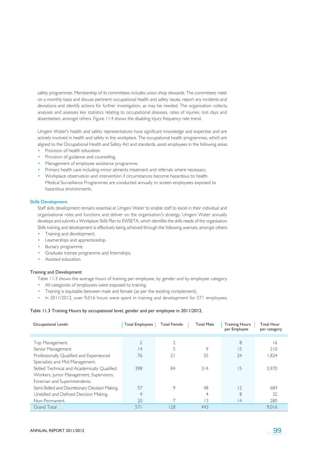safety programmes. Membership of its committees includes union shop stewards. The committees meet on a monthly basis and discuss pertinent occupational health and safety issues, report any incidents and deviations and identify actions for further investigation, as may be needed. The organisation collects, analyses and assesses key statistics relating to occupational diseases, rates of injuries, lost days and absenteeism, amongst others. Figure 11.4 shows the disabling injury frequency rate trend.

Umgeni Water's health and safety representatives have significant knowledge and expertise and are actively involved in health and safety in the workplace. The occupational health programmes, which are aligned to the Occupational Health and Safety Act and standards, assist employees in the following areas:

- Provision of health education.
- Provision of guidance and counselling.
- Management of employee assistance programme.
- Primary health care including minor ailments treatment and referrals where necessary.
- Workplace observation and intervention if circumstances become hazardous to health. Medical Surveillance Programmes are conducted annually to screen employees exposed to hazardous environments.

#### Skills Development

Staff skills development remains essential at Umgeni Water to enable staff to excel in their individual and organisational roles and functions and deliver on the organisation's strategy. Umgeni Water annually develops and submits a Workplace Skills Plan to EWSETA, which identifies the skills needs of the organisation. Skills training and development is effectively being achieved through the following avenues, amongst others:

- Training and development.
- Learnerships and apprenticeship.
- Bursary programme.
- Graduate trainee programme and Internships.
- Assisted education.

# Training and Development

- Table 11.3 shows the average hours of training per employee, by gender and by employee category.
- All categories of employees were exposed to training.
- Training is equitable between male and female (as per the existing complement).
- In 2011/2012, over 9,016 hours were spent in training and development for 571 employees.

#### Table 11.3 Training Hours by occupational level, gender and per employee in 2011/2012.

| Occupational Levels                             | <b>Total Employees</b> | <b>Total Female</b> | <b>Total Male</b> | <b>Training Hours</b><br>per Employee | <b>Total Hour</b><br>per category |
|-------------------------------------------------|------------------------|---------------------|-------------------|---------------------------------------|-----------------------------------|
|                                                 |                        |                     |                   |                                       |                                   |
| Top Management.                                 | 2                      |                     |                   | 8                                     | 16                                |
| Senior Management                               | 4                      | 5                   | 9                 | 15                                    | 210                               |
| Professionally Qualified and Experienced        | 76                     |                     | 55                | 24                                    | 1,824                             |
| Specialists and Mid-Management.                 |                        |                     |                   |                                       |                                   |
| Skilled Technical and Academically Qualified    | 398                    | 84                  | 314               | 15                                    | 5.970                             |
| Workers, Junior Management, Supervisors,        |                        |                     |                   |                                       |                                   |
| Foreman and Superintendents.                    |                        |                     |                   |                                       |                                   |
| Semi-Skilled and Discretionary Decision Making. | 57                     | 9                   | 48                | 2                                     | 684                               |
| Unskilled and Defined Decision Making.          | 4                      |                     | 4                 | 8                                     | 32                                |
| Non-Permanent.                                  | 20                     |                     | 3                 | 4                                     | 280                               |
| <b>Grand Total</b>                              | 571                    | 128                 | 443               |                                       | 9.016                             |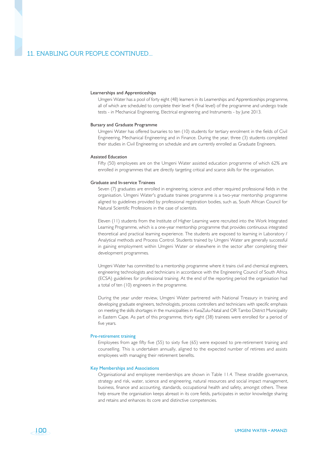#### Learnerships and Apprenticeships

Umgeni Water has a pool of forty eight (48) learners in its Learnerships and Apprenticeships programme, all of which are scheduled to complete their level 4 (final level) of the programme and undergo trade tests - in Mechanical Engineering, Electrical engineering and Instruments - by June 2013.

#### Bursary and Graduate Programme

Umgeni Water has offered bursaries to ten (10) students for tertiary enrolment in the fields of Civil Engineering, Mechanical Engineering and in Finance. During the year, three (3) students completed their studies in Civil Engineering on schedule and are currently enrolled as Graduate Engineers.

#### Assisted Education

Fifty (50) employees are on the Umgeni Water assisted education programme of which 62% are enrolled in programmes that are directly targeting critical and scarce skills for the organisation.

#### Graduate and In-service Trainees

Seven (7) graduates are enrolled in engineering, science and other required professional fields in the organisation. Umgeni Water's graduate trainee programme is a two-year mentorship programme aligned to guidelines provided by professional registration bodies, such as, South African Council for Natural Scientific Professions in the case of scientists.

Eleven (11) students from the Institute of Higher Learning were recruited into the Work Integrated Learning Programme, which is a one-year mentorship programme that provides continuous integrated theoretical and practical learning experience. The students are exposed to learning in Laboratory / Analytical methods and Process Control. Students trained by Umgeni Water are generally successful in gaining employment within Umgeni Water or elsewhere in the sector after completing their development programmes.

Umgeni Water has committed to a mentorship programme where it trains civil and chemical engineers, engineering technologists and technicians in accordance with the Engineering Council of South Africa (ECSA) guidelines for professional training. At the end of the reporting period the organisation had a total of ten (10) engineers in the programme.

During the year under review, Umgeni Water partnered with National Treasury in training and developing graduate engineers, technologists, process controllers and technicians with specific emphasis on meeting the skills shortages in the municipalities in KwaZulu-Natal and OR Tambo District Municipality in Eastern Cape. As part of this programme, thirty eight (38) trainees were enrolled for a period of five years.

#### Pre-retirement training

Employees from age fifty five (55) to sixty five (65) were exposed to pre-retirement training and counselling. This is undertaken annually, aligned to the expected number of retirees and assists employees with managing their retirement benefits.

#### Key Memberships and Associations

Organisational and employee memberships are shown in Table 11.4. These straddle governance, strategy and risk, water, science and engineering, natural resources and social impact management, business, finance and accounting, standards, occupational health and safety, amongst others. These help ensure the organisation keeps abreast in its core fields, participates in sector knowledge sharing and retains and enhances its core and distinctive competencies.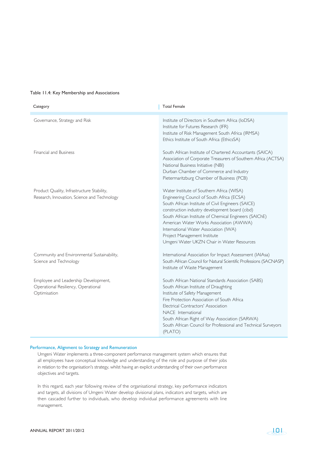# Table 11.4: Key Membership and Associations

| Category                                                                                    | <b>Total Female</b>                                                                                                                                                                                                                                                                                                                                                                                                         |
|---------------------------------------------------------------------------------------------|-----------------------------------------------------------------------------------------------------------------------------------------------------------------------------------------------------------------------------------------------------------------------------------------------------------------------------------------------------------------------------------------------------------------------------|
| Governance, Strategy and Risk                                                               | Institute of Directors in Southern Africa (IoDSA)<br>Institute for Futures Research (IFR)<br>Institute of Risk Management South Africa (IRMSA)<br>Ethics Institute of South Africa (EthicsSA)                                                                                                                                                                                                                               |
| Financial and Business                                                                      | South African Institute of Chartered Accountants (SAICA)<br>Association of Corporate Treasurers of Southern Africa (ACTSA)<br>National Business Initiative (NBI)<br>Durban Chamber of Commerce and Industry<br>Pietermaritzburg Chamber of Business (PCB)                                                                                                                                                                   |
| Product Quality, Infrastructure Stability,<br>Research, Innovation, Science and Technology  | Water Institute of Southern Africa (WISA)<br>Engineering Council of South Africa (ECSA)<br>South African Institute of Civil Engineers (SAICE)<br>construction industry development board (cibd)<br>South African Institute of Chemical Engineers (SAIChE)<br>American Water Works Association (AWWA)<br>International Water Association (IWA)<br>Project Management Institute<br>Umgeni Water UKZN Chair in Water Resources |
| Community and Environmental Sustainability,<br>Science and Technology                       | International Association for Impact Assessment (IAIAsa)<br>South African Council for Natural Scientific Professions (SACNASP)<br>Institute of Waste Management                                                                                                                                                                                                                                                             |
| Employee and Leadership Development,<br>Operational Resiliency, Operational<br>Optimisation | South African National Standards Association (SABS)<br>South African Institute of Draughting<br>Institute of Safety Management<br>Fire Protection Association of South Africa<br>Electrical Contractors' Association<br>NACE International<br>South African Right of Way Association (SARWA)<br>South African Council for Professional and Technical Surveyors<br>(PLATO)                                                   |

# Performance, Alignment to Strategy and Remuneration

Umgeni Water implements a three-component performance management system which ensures that all employees have conceptual knowledge and understanding of the role and purpose of their jobs in relation to the organisation's strategy, whilst having an explicit understanding of their own performance objectives and targets.

In this regard, each year following review of the organisational strategy, key performance indicators and targets, all divisions of Umgeni Water develop divisional plans, indicators and targets, which are then cascaded further to individuals, who develop individual performance agreements with line management.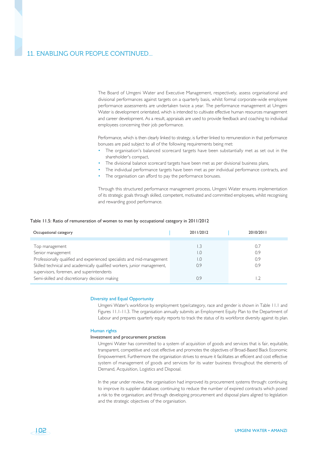The Board of Umgeni Water and Executive Management, respectively, assess organisational and divisional performances against targets on a quarterly basis, whilst formal corporate-wide employee performance assessments are undertaken twice a year. The performance management at Umgeni Water is development orientated, which is intended to cultivate effective human resources management and career development. As a result, appraisals are used to provide feedback and coaching to individual employees concerning their job performance.

Performance, which is then clearly linked to strategy, is further linked to remuneration in that performance bonuses are paid subject to all of the following requirements being met:

- The organisation's balanced scorecard targets have been substantially met as set out in the shareholder's compact,
- The divisional balance scorecard targets have been met as per divisional business plans,
- The individual performance targets have been met as per individual performance contracts, and
- The organisation can afford to pay the performance bonuses.

Through this structured performance management process, Umgeni Water ensures implementation of its strategic goals through skilled, competent, motivated and committed employees, whilst recognising and rewarding good performance.

#### Table 11.5: Ratio of remuneration of women to men by occupational category in 2011/2012

| Occupational category                                                    | 2011/2012 | 2010/2011 |
|--------------------------------------------------------------------------|-----------|-----------|
|                                                                          |           |           |
| Top management                                                           |           | 0.7       |
| Senior management                                                        | L.O       | 0.9       |
| Professionally qualified and experienced specialists and mid-management  | l.O       | 0.9       |
| Skilled technical and academically qualified workers, junior management, | 0.9       | 0.9       |
| supervisors, foremen, and superintendents                                |           |           |
| Semi-skilled and discretionary decision making                           | 0.9       |           |

#### Diversity and Equal Opportunity

Umgeni Water's workforce by employment type/category, race and gender is shown in Table 11.1 and Figures 11.1-11.3. The organisation annually submits an Employment Equity Plan to the Department of Labour and prepares quarterly equity reports to track the status of its workforce diversity against its plan.

#### Human rights

 $-102$ 

#### Investment and procurement practices

Umgeni Water has committed to a system of acquisition of goods and services that is fair, equitable, transparent, competitive and cost effective and promotes the objectives of Broad-Based Black Economic Empowerment. Furthermore the organisation strives to ensure it facilitates an efficient and cost effective system of management of goods and services for its water business throughout the elements of Demand, Acquisition, Logistics and Disposal.

In the year under review, the organisation had improved its procurement systems through: continuing to improve its supplier database; continuing to reduce the number of expired contracts which posed a risk to the organisation; and through developing procurement and disposal plans aligned to legislation and the strategic objectives of the organisation.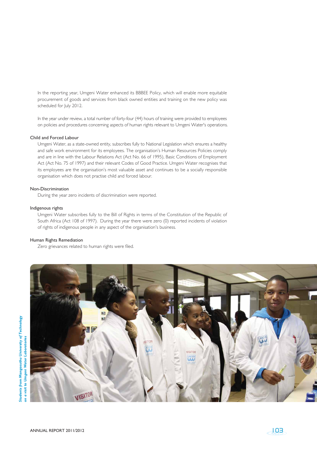In the reporting year, Umgeni Water enhanced its BBBEE Policy, which will enable more equitable procurement of goods and services from black owned entities and training on the new policy was scheduled for July 2012.

In the year under review, a total number of forty-four (44) hours of training were provided to employees on policies and procedures concerning aspects of human rights relevant to Umgeni Water's operations.

# Child and Forced Labour

Umgeni Water, as a state-owned entity, subscribes fully to National Legislation which ensures a healthy and safe work environment for its employees. The organisation's Human Resources Policies comply and are in line with the Labour Relations Act (Act No. 66 of 1995), Basic Conditions of Employment Act (Act No. 75 of 1997) and their relevant Codes of Good Practice. Umgeni Water recognises that its employees are the organisation's most valuable asset and continues to be a socially responsible organisation which does not practise child and forced labour.

#### Non-Discrimination

During the year zero incidents of discrimination were reported.

#### Indigenous rights

Umgeni Water subscribes fully to the Bill of Rights in terms of the Constitution of the Republic of South Africa (Act 108 of 1997). During the year there were zero (0) reported incidents of violation of rights of indigenous people in any aspect of the organisation's business.

# Human Rights Remediation

Zero grievances related to human rights were filed.